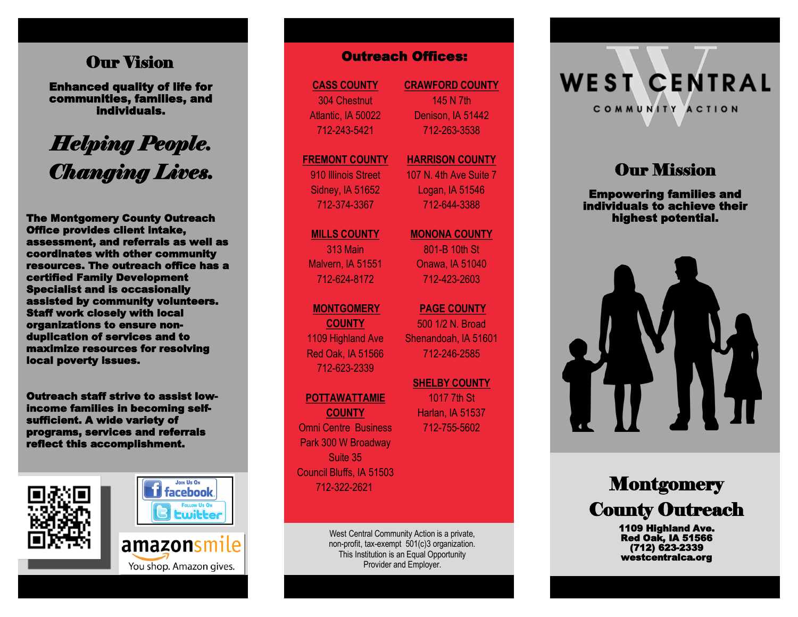### Our Vision

Enhanced quality of life for communities, families, and individuals.

# *Helping People. Changing Lives.*

The Montgomery County Outreach Office provides client intake, assessment, and referrals as well as coordinates with other community resources. The outreach office has a certified Family Development Specialist and is occasionally assisted by community volunteers. Staff work closely with local organizations to ensure non duplication of services and to maximize resources for resolving local poverty issues. **Our Vision**<br> **Channel quality of life for**<br> **Communities, families, and**<br> **Individuals.**<br> **Individuals.**<br> **Individuals.**<br> **Individuals.**<br> **Interfect this accomplishment.** As the montgomery county outreach and the service

Outreach staff strive to assist lowincome families in becoming selfsufficient. A wide variety of programs, services and referrals





amazonsmile

**CASS COUNTY** 304 Chestnut Atlantic, IA 50022 712 -243 -5421

#### **FREMONT COUNTY** 910 Illinois Street

Sidney, IA 51652 712 -374 -3367

#### **MILLS COUNTY** 313 Main

Malvern, IA 51551 712 -624 -8172

### **MONTGOMERY**

**COUNTY** 1109 Highland Ave Red Oak, IA 51566 712 -623 -2339

#### **POTTAWATTAMIE**

**COUNTY** Omni Centre Business Park 300 W Broadway Suite 35 Council Bluffs, IA 51503 712 -322 -2621

> West Central Community Action is a private, non -profit, tax -exempt 501(c)3 organization. This Institution is an Equal Opportunity Provider and Employer.

**CRAWFORD COUNTY** 145 N 7th Denison, IA 51442 712 -263 -3538

#### **HARRISON COUNTY** 107 N. 4th Ave Suite 7

Logan, IA 51546 712 -644 -3388

### **MONONA COUNTY**

801 -B 10th St Onawa, IA 51040 712 -423 -2603

### **PAGE COUNTY**  500 1/2 N. Broad Shenandoah, IA 51601 712 -246 -2585

**SHELBY COUNTY**  1017 7th St Harlan, IA 51537 712 -755 -5602

# **WEST CENTRAL** COMMUNITY ACTION

## **Our Mission**

Empowering families and individuals to achieve their highest potential.



# **Montgomery** County Outreach

1109 Highland Ave. Red Oak, IA 51566 (712) 623 -2339 westcentralca.org

You shop. Amazon gives.